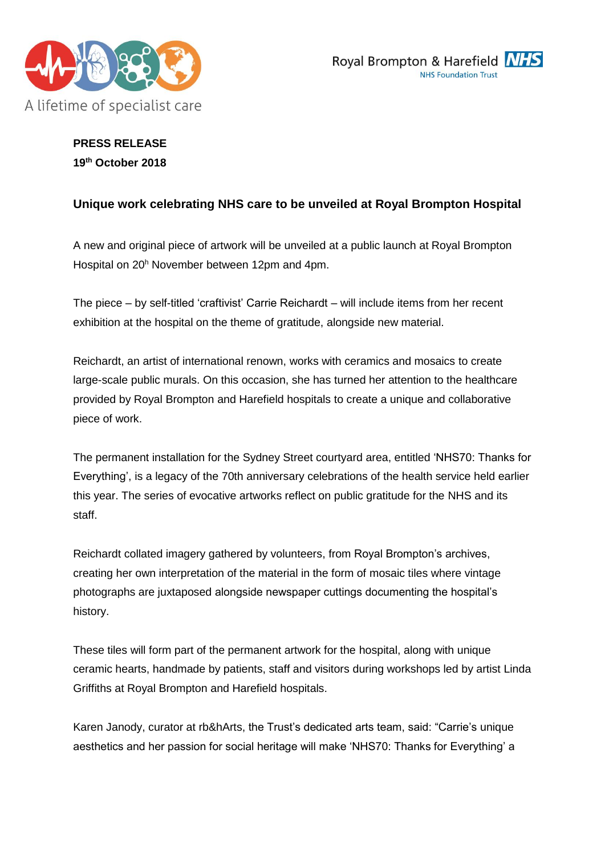



# **PRESS RELEASE 19th October 2018**

# **Unique work celebrating NHS care to be unveiled at Royal Brompton Hospital**

A new and original piece of artwork will be unveiled at a public launch at Royal Brompton Hospital on 20<sup>h</sup> November between 12pm and 4pm.

The piece – by self-titled 'craftivist' Carrie Reichardt – will include items from her recent exhibition at the hospital on the theme of gratitude, alongside new material.

Reichardt, an artist of international renown, works with ceramics and mosaics to create large-scale public murals. On this occasion, she has turned her attention to the healthcare provided by Royal Brompton and Harefield hospitals to create a unique and collaborative piece of work.

The permanent installation for the Sydney Street courtyard area, entitled 'NHS70: Thanks for Everything', is a legacy of the 70th anniversary celebrations of the health service held earlier this year. The series of evocative artworks reflect on public gratitude for the NHS and its staff.

Reichardt collated imagery gathered by volunteers, from Royal Brompton's archives, creating her own interpretation of the material in the form of mosaic tiles where vintage photographs are juxtaposed alongside newspaper cuttings documenting the hospital's history.

These tiles will form part of the permanent artwork for the hospital, along with unique ceramic hearts, handmade by patients, staff and visitors during workshops led by artist Linda Griffiths at Royal Brompton and Harefield hospitals.

Karen Janody, curator at rb&hArts, the Trust's dedicated arts team, said: "Carrie's unique aesthetics and her passion for social heritage will make 'NHS70: Thanks for Everything' a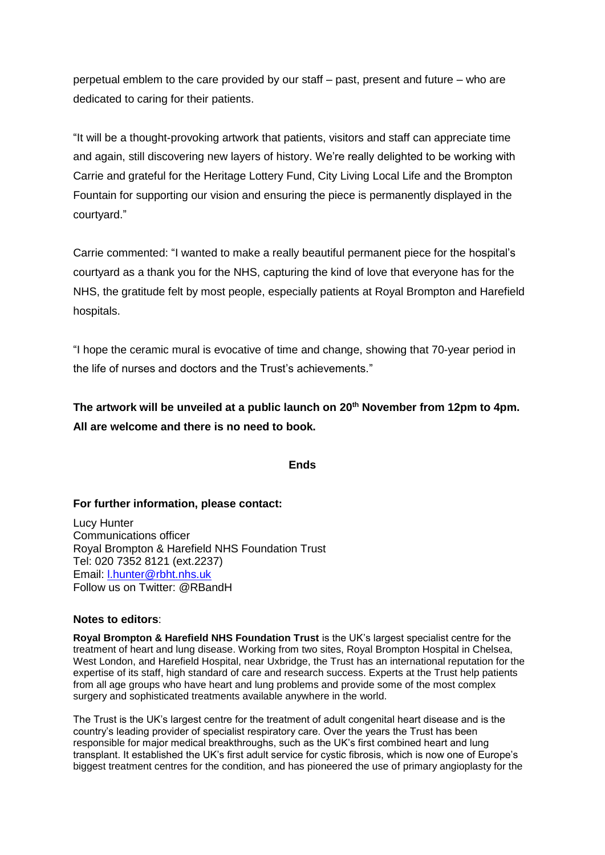perpetual emblem to the care provided by our staff – past, present and future – who are dedicated to caring for their patients.

"It will be a thought-provoking artwork that patients, visitors and staff can appreciate time and again, still discovering new layers of history. We're really delighted to be working with Carrie and grateful for the Heritage Lottery Fund, City Living Local Life and the Brompton Fountain for supporting our vision and ensuring the piece is permanently displayed in the courtyard."

Carrie commented: "I wanted to make a really beautiful permanent piece for the hospital's courtyard as a thank you for the NHS, capturing the kind of love that everyone has for the NHS, the gratitude felt by most people, especially patients at Royal Brompton and Harefield hospitals.

"I hope the ceramic mural is evocative of time and change, showing that 70-year period in the life of nurses and doctors and the Trust's achievements."

**The artwork will be unveiled at a public launch on 20th November from 12pm to 4pm. All are welcome and there is no need to book.**

## **Ends**

### **For further information, please contact:**

Lucy Hunter Communications officer Royal Brompton & Harefield NHS Foundation Trust Tel: 020 7352 8121 (ext.2237) Email: [l.hunter@rbht.nhs.uk](mailto:l.hunter@rbht.nhs.uk) Follow us on Twitter: @RBandH

### **Notes to editors**:

**Royal Brompton & Harefield NHS Foundation Trust** is the UK's largest specialist centre for the treatment of heart and lung disease. Working from two sites, Royal Brompton Hospital in Chelsea, West London, and Harefield Hospital, near Uxbridge, the Trust has an international reputation for the expertise of its staff, high standard of care and research success. Experts at the Trust help patients from all age groups who have heart and lung problems and provide some of the most complex surgery and sophisticated treatments available anywhere in the world.

The Trust is the UK's largest centre for the treatment of adult congenital heart disease and is the country's leading provider of specialist respiratory care. Over the years the Trust has been responsible for major medical breakthroughs, such as the UK's first combined heart and lung transplant. It established the UK's first adult service for cystic fibrosis, which is now one of Europe's biggest treatment centres for the condition, and has pioneered the use of primary angioplasty for the